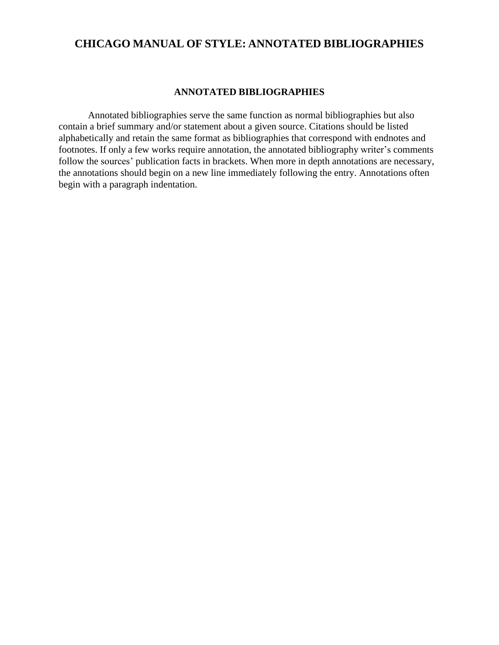## **CHICAGO MANUAL OF STYLE: ANNOTATED BIBLIOGRAPHIES**

## **ANNOTATED BIBLIOGRAPHIES**

Annotated bibliographies serve the same function as normal bibliographies but also contain a brief summary and/or statement about a given source. Citations should be listed alphabetically and retain the same format as bibliographies that correspond with endnotes and footnotes. If only a few works require annotation, the annotated bibliography writer's comments follow the sources' publication facts in brackets. When more in depth annotations are necessary, the annotations should begin on a new line immediately following the entry. Annotations often begin with a paragraph indentation.